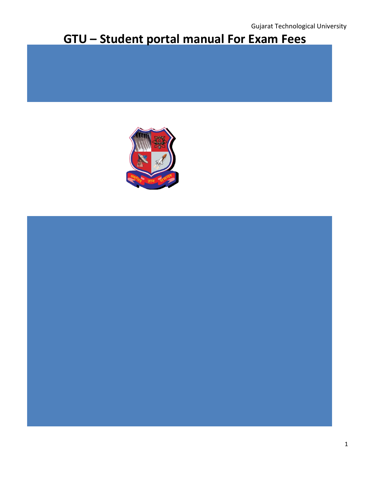# **GTU – Student portal manual For Exam Fees**



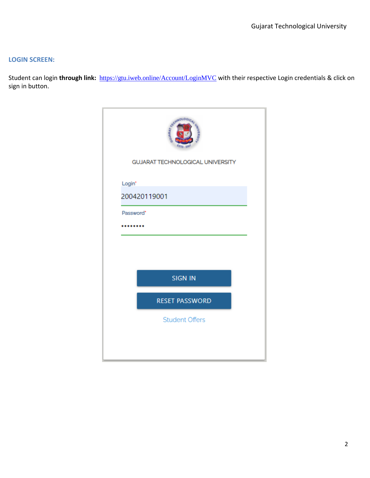#### **LOGIN SCREEN:**

Student can login **through link:** <https://gtu.iweb.online/Account/LoginMVC> with their respective Login credentials & click on sign in button.

| <b>CHINOLOGIC</b><br>$^{67}$ D <sub>1</sub> 20 <sup>2</sup><br><b>GUJARAT TECHNOLOGICAL UNIVERSITY</b> |  |
|--------------------------------------------------------------------------------------------------------|--|
| Login*                                                                                                 |  |
| 200420119001                                                                                           |  |
| Password*<br>                                                                                          |  |
|                                                                                                        |  |
| <b>SIGN IN</b>                                                                                         |  |
| <b>RESET PASSWORD</b>                                                                                  |  |
| <b>Student Offers</b>                                                                                  |  |
|                                                                                                        |  |
|                                                                                                        |  |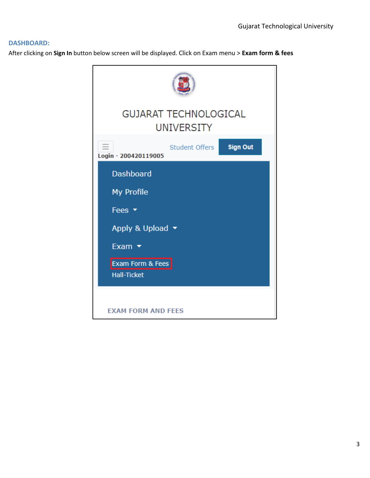#### **DASHBOARD:**

After clicking on **Sign In** button below screen will be displayed. Click on Exam menu > **Exam form & fees**

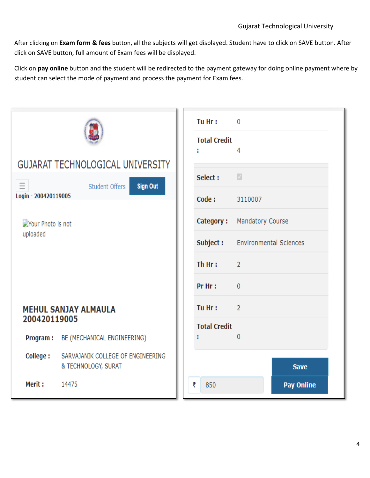After clicking on **Exam form & fees** button, all the subjects will get displayed. Student have to click on SAVE button. After click on SAVE button, full amount of Exam fees will be displayed.

Click on **pay online** button and the student will be redirected to the payment gateway for doing online payment where by student can select the mode of payment and process the payment for Exam fees.

|                                                         |                                      |                                                                                                                                                                                                                                                                                                                                                                     | Tu Hr :  | $\mathbf{0}$      |  |
|---------------------------------------------------------|--------------------------------------|---------------------------------------------------------------------------------------------------------------------------------------------------------------------------------------------------------------------------------------------------------------------------------------------------------------------------------------------------------------------|----------|-------------------|--|
|                                                         |                                      |                                                                                                                                                                                                                                                                                                                                                                     | ÷        | 4                 |  |
| <b>GUJARAT TECHNOLOGICAL UNIVERSITY</b>                 |                                      |                                                                                                                                                                                                                                                                                                                                                                     |          |                   |  |
| $\equiv$                                                | Student Offers                       | <b>Total Credit</b><br>$\overline{\mathcal{G}}$<br>Select:<br><b>Sign Out</b><br>Code:<br>3110007<br>Category: Mandatory Course<br>Subject:<br><b>Environmental Sciences</b><br>Th Hr:<br>$\overline{2}$<br>Pr Hr:<br>$\overline{0}$<br>Tu Hr:<br>$\overline{2}$<br><b>Total Credit</b><br>$\overline{0}$<br>ł.<br>SARVAJANIK COLLEGE OF ENGINEERING<br><b>Save</b> |          |                   |  |
| Login - 200420119005                                    |                                      |                                                                                                                                                                                                                                                                                                                                                                     |          |                   |  |
| Your Photo is not                                       |                                      |                                                                                                                                                                                                                                                                                                                                                                     |          |                   |  |
| uploaded<br><b>MEHUL SANJAY ALMAULA</b><br>200420119005 |                                      |                                                                                                                                                                                                                                                                                                                                                                     |          |                   |  |
|                                                         |                                      |                                                                                                                                                                                                                                                                                                                                                                     |          |                   |  |
|                                                         |                                      |                                                                                                                                                                                                                                                                                                                                                                     |          |                   |  |
|                                                         |                                      |                                                                                                                                                                                                                                                                                                                                                                     |          |                   |  |
|                                                         |                                      |                                                                                                                                                                                                                                                                                                                                                                     |          |                   |  |
|                                                         | Program: BE (MECHANICAL ENGINEERING) |                                                                                                                                                                                                                                                                                                                                                                     |          |                   |  |
| College:                                                | & TECHNOLOGY, SURAT                  |                                                                                                                                                                                                                                                                                                                                                                     |          |                   |  |
| Merit:                                                  | 14475                                |                                                                                                                                                                                                                                                                                                                                                                     | ₹<br>850 | <b>Pay Online</b> |  |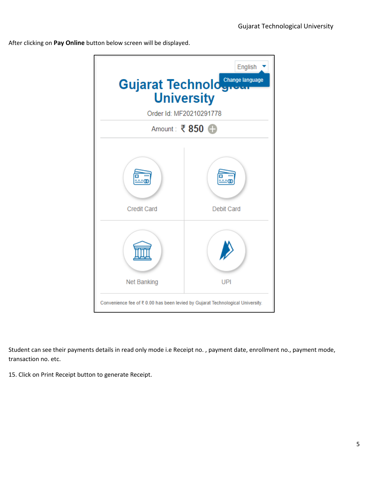After clicking on **Pay Online** button below screen will be displayed.



Student can see their payments details in read only mode i.e Receipt no. , payment date, enrollment no., payment mode, transaction no. etc.

15. Click on Print Receipt button to generate Receipt.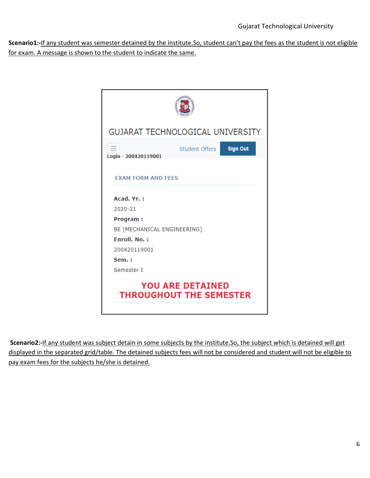**Scenario1:-**If any student was semester detained by the institute.So, student can't pay the fees as the student is not eligible for exam. A message is shown to the student to indicate the same.

| <b>GUJARAT TECHNOLOGICAL UNIVERSITY</b>                   |  |  |  |  |
|-----------------------------------------------------------|--|--|--|--|
| <b>Sign Out</b><br>Student Offers<br>Login - 200420119001 |  |  |  |  |
| <b>EXAM FORM AND FEES</b>                                 |  |  |  |  |
| Acad. Yr.:                                                |  |  |  |  |
| 2020-21                                                   |  |  |  |  |
| <b>Program:</b>                                           |  |  |  |  |
| BE (MECHANICAL ENGINEERING)                               |  |  |  |  |
| <b>Fnroll, No.:</b>                                       |  |  |  |  |
| 200420119001                                              |  |  |  |  |
| Sem.:                                                     |  |  |  |  |
| Semester I                                                |  |  |  |  |
| <b>YOU ARE DETAINED</b><br><b>THROUGHOUT THE SEMESTER</b> |  |  |  |  |

**Scenario2:-**If any student was subject detain in some subjects by the institute.So, the subject which is detained will get displayed in the separated grid/table. The detained subjects fees will not be considered and student will not be eligible to pay exam fees for the subjects he/she is detained.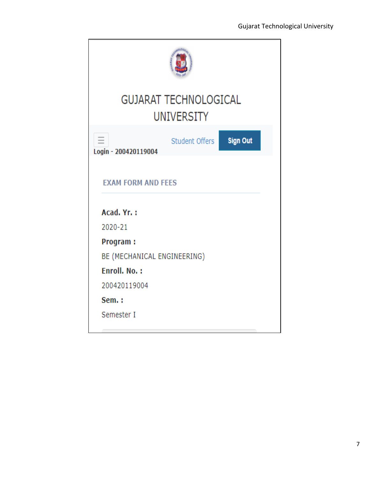| <b>GUJARAT TECHNOLOGICAL</b><br><b>UNIVERSITY</b>         |  |  |  |  |  |
|-----------------------------------------------------------|--|--|--|--|--|
| <b>Sign Out</b><br>Student Offers<br>Login - 200420119004 |  |  |  |  |  |
| <b>EXAM FORM AND FEES</b>                                 |  |  |  |  |  |
| Acad. Yr.:                                                |  |  |  |  |  |
| 2020-21                                                   |  |  |  |  |  |
| <b>Program:</b>                                           |  |  |  |  |  |
| BE (MECHANICAL ENGINEERING)                               |  |  |  |  |  |
| Enroll, No.:                                              |  |  |  |  |  |
| 200420119004                                              |  |  |  |  |  |
| Sem.:                                                     |  |  |  |  |  |
| Semester I                                                |  |  |  |  |  |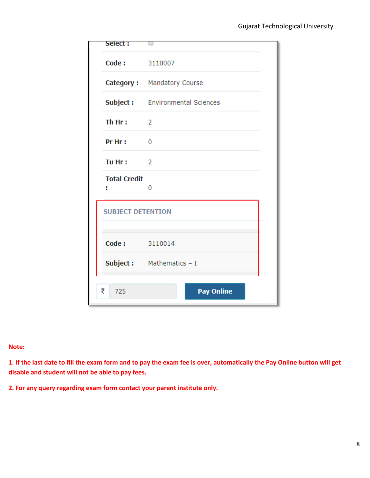| Select:                  |                                        |  |  |  |  |
|--------------------------|----------------------------------------|--|--|--|--|
| Code: 3110007            |                                        |  |  |  |  |
|                          | Category: Mandatory Course             |  |  |  |  |
|                          | <b>Subject:</b> Environmental Sciences |  |  |  |  |
| Th Hr:                   | $\sim$ 2                               |  |  |  |  |
| Pr Hr:                   | 0                                      |  |  |  |  |
| Tu Hr:                   | $\overline{2}$                         |  |  |  |  |
| <b>Total Credit</b><br>H | 0                                      |  |  |  |  |
| <b>SUBJECT DETENTION</b> |                                        |  |  |  |  |
|                          |                                        |  |  |  |  |
| Code: 3110014            |                                        |  |  |  |  |
|                          | Subject: Mathematics - I               |  |  |  |  |
| ₹<br>725                 | <b>Pay Online</b>                      |  |  |  |  |

### **Note:**

**1. If the last date to fill the exam form and to pay the exam fee is over, automatically the Pay Online button will get disable and student will not be able to pay fees.**

**2. For any query regarding exam form contact your parent institute only.**